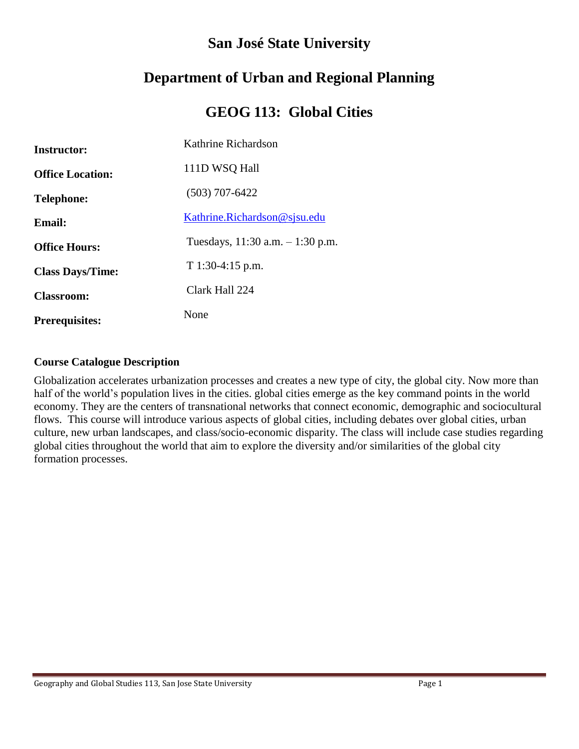# **San José State University**

# **Department of Urban and Regional Planning**

# **GEOG 113: Global Cities**

| <b>Instructor:</b>      | Kathrine Richardson                 |
|-------------------------|-------------------------------------|
| <b>Office Location:</b> | 111D WSO Hall                       |
| <b>Telephone:</b>       | $(503)$ 707-6422                    |
| <b>Email:</b>           | Kathrine.Richardson@sjsu.edu        |
| <b>Office Hours:</b>    | Tuesdays, $11:30$ a.m. $-1:30$ p.m. |
| <b>Class Days/Time:</b> | $T$ 1:30-4:15 p.m.                  |
| <b>Classroom:</b>       | Clark Hall 224                      |
| <b>Prerequisites:</b>   | None                                |

#### **Course Catalogue Description**

Globalization accelerates urbanization processes and creates a new type of city, the global city. Now more than half of the world's population lives in the cities. global cities emerge as the key command points in the world economy. They are the centers of transnational networks that connect economic, demographic and sociocultural flows. This course will introduce various aspects of global cities, including debates over global cities, urban culture, new urban landscapes, and class/socio-economic disparity. The class will include case studies regarding global cities throughout the world that aim to explore the diversity and/or similarities of the global city formation processes.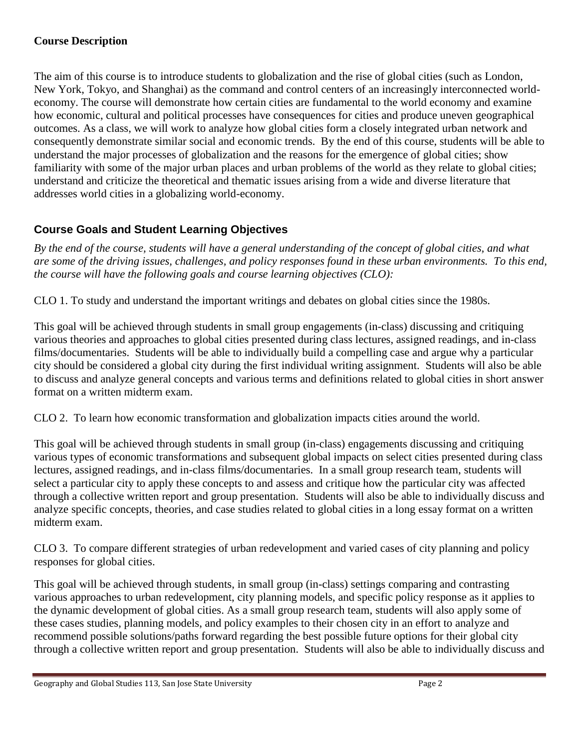#### **Course Description**

The aim of this course is to introduce students to globalization and the rise of global cities (such as London, New York, Tokyo, and Shanghai) as the command and control centers of an increasingly interconnected worldeconomy. The course will demonstrate how certain cities are fundamental to the world economy and examine how economic, cultural and political processes have consequences for cities and produce uneven geographical outcomes. As a class, we will work to analyze how global cities form a closely integrated urban network and consequently demonstrate similar social and economic trends. By the end of this course, students will be able to understand the major processes of globalization and the reasons for the emergence of global cities; show familiarity with some of the major urban places and urban problems of the world as they relate to global cities; understand and criticize the theoretical and thematic issues arising from a wide and diverse literature that addresses world cities in a globalizing world-economy.

#### **Course Goals and Student Learning Objectives**

*By the end of the course, students will have a general understanding of the concept of global cities, and what are some of the driving issues, challenges, and policy responses found in these urban environments. To this end, the course will have the following goals and course learning objectives (CLO):*

CLO 1. To study and understand the important writings and debates on global cities since the 1980s.

This goal will be achieved through students in small group engagements (in-class) discussing and critiquing various theories and approaches to global cities presented during class lectures, assigned readings, and in-class films/documentaries. Students will be able to individually build a compelling case and argue why a particular city should be considered a global city during the first individual writing assignment. Students will also be able to discuss and analyze general concepts and various terms and definitions related to global cities in short answer format on a written midterm exam.

CLO 2. To learn how economic transformation and globalization impacts cities around the world.

This goal will be achieved through students in small group (in-class) engagements discussing and critiquing various types of economic transformations and subsequent global impacts on select cities presented during class lectures, assigned readings, and in-class films/documentaries. In a small group research team, students will select a particular city to apply these concepts to and assess and critique how the particular city was affected through a collective written report and group presentation. Students will also be able to individually discuss and analyze specific concepts, theories, and case studies related to global cities in a long essay format on a written midterm exam.

CLO 3. To compare different strategies of urban redevelopment and varied cases of city planning and policy responses for global cities.

This goal will be achieved through students, in small group (in-class) settings comparing and contrasting various approaches to urban redevelopment, city planning models, and specific policy response as it applies to the dynamic development of global cities. As a small group research team, students will also apply some of these cases studies, planning models, and policy examples to their chosen city in an effort to analyze and recommend possible solutions/paths forward regarding the best possible future options for their global city through a collective written report and group presentation. Students will also be able to individually discuss and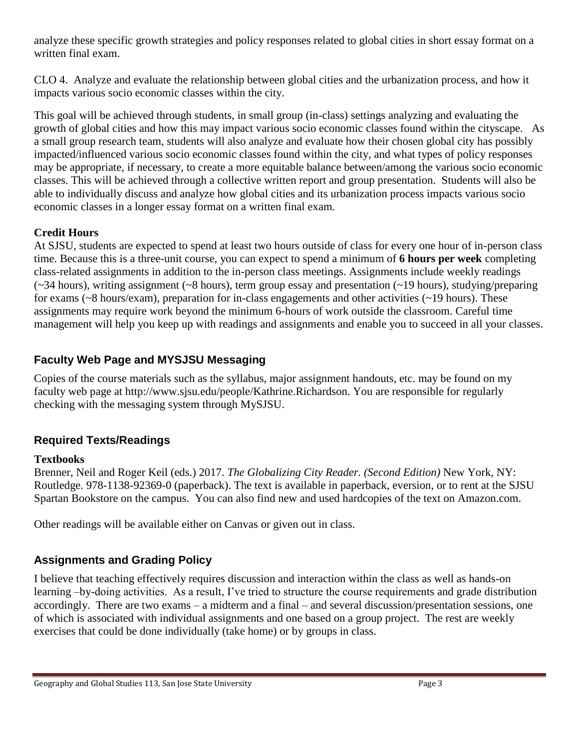analyze these specific growth strategies and policy responses related to global cities in short essay format on a written final exam.

CLO 4. Analyze and evaluate the relationship between global cities and the urbanization process, and how it impacts various socio economic classes within the city.

This goal will be achieved through students, in small group (in-class) settings analyzing and evaluating the growth of global cities and how this may impact various socio economic classes found within the cityscape. As a small group research team, students will also analyze and evaluate how their chosen global city has possibly impacted/influenced various socio economic classes found within the city, and what types of policy responses may be appropriate, if necessary, to create a more equitable balance between/among the various socio economic classes. This will be achieved through a collective written report and group presentation. Students will also be able to individually discuss and analyze how global cities and its urbanization process impacts various socio economic classes in a longer essay format on a written final exam.

#### **Credit Hours**

At SJSU, students are expected to spend at least two hours outside of class for every one hour of in-person class time. Because this is a three-unit course, you can expect to spend a minimum of **6 hours per week** completing class-related assignments in addition to the in-person class meetings. Assignments include weekly readings  $(\sim]34$  hours), writing assignment ( $\sim]8$  hours), term group essay and presentation ( $\sim]19$  hours), studying/preparing for exams  $\left(\sim 8 \text{ hours}/\text{exam}\right)$ , preparation for in-class engagements and other activities  $\left(\sim 19 \text{ hours}\right)$ . These assignments may require work beyond the minimum 6-hours of work outside the classroom. Careful time management will help you keep up with readings and assignments and enable you to succeed in all your classes.

## **Faculty Web Page and MYSJSU Messaging**

Copies of the course materials such as the syllabus, major assignment handouts, etc. may be found on my faculty web page at http://www.sjsu.edu/people/Kathrine.Richardson. You are responsible for regularly checking with the messaging system through MySJSU.

## **Required Texts/Readings**

#### **Textbooks**

Brenner, Neil and Roger Keil (eds.) 2017. *The Globalizing City Reader. (Second Edition)* New York, NY: Routledge. 978-1138-92369-0 (paperback). The text is available in paperback, eversion, or to rent at the SJSU Spartan Bookstore on the campus. You can also find new and used hardcopies of the text on Amazon.com.

Other readings will be available either on Canvas or given out in class.

## **Assignments and Grading Policy**

I believe that teaching effectively requires discussion and interaction within the class as well as hands-on learning –by-doing activities. As a result, I've tried to structure the course requirements and grade distribution accordingly. There are two exams – a midterm and a final – and several discussion/presentation sessions, one of which is associated with individual assignments and one based on a group project. The rest are weekly exercises that could be done individually (take home) or by groups in class.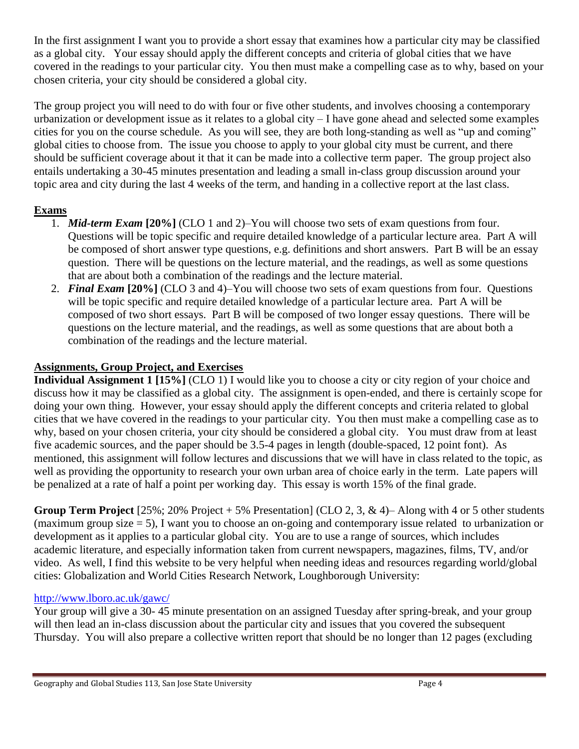In the first assignment I want you to provide a short essay that examines how a particular city may be classified as a global city. Your essay should apply the different concepts and criteria of global cities that we have covered in the readings to your particular city. You then must make a compelling case as to why, based on your chosen criteria, your city should be considered a global city.

The group project you will need to do with four or five other students, and involves choosing a contemporary urbanization or development issue as it relates to a global city – I have gone ahead and selected some examples cities for you on the course schedule. As you will see, they are both long-standing as well as "up and coming" global cities to choose from. The issue you choose to apply to your global city must be current, and there should be sufficient coverage about it that it can be made into a collective term paper. The group project also entails undertaking a 30-45 minutes presentation and leading a small in-class group discussion around your topic area and city during the last 4 weeks of the term, and handing in a collective report at the last class.

#### **Exams**

- 1. *Mid-term Exam* **[20%]** (CLO 1 and 2)–You will choose two sets of exam questions from four. Questions will be topic specific and require detailed knowledge of a particular lecture area. Part A will be composed of short answer type questions, e.g. definitions and short answers. Part B will be an essay question. There will be questions on the lecture material, and the readings, as well as some questions that are about both a combination of the readings and the lecture material.
- 2. *Final Exam* **[20%]** (CLO 3 and 4)–You will choose two sets of exam questions from four. Questions will be topic specific and require detailed knowledge of a particular lecture area. Part A will be composed of two short essays. Part B will be composed of two longer essay questions. There will be questions on the lecture material, and the readings, as well as some questions that are about both a combination of the readings and the lecture material.

## **Assignments, Group Project, and Exercises**

**Individual Assignment 1 [15%]** (CLO 1) I would like you to choose a city or city region of your choice and discuss how it may be classified as a global city. The assignment is open-ended, and there is certainly scope for doing your own thing. However, your essay should apply the different concepts and criteria related to global cities that we have covered in the readings to your particular city. You then must make a compelling case as to why, based on your chosen criteria, your city should be considered a global city. You must draw from at least five academic sources, and the paper should be 3.5-4 pages in length (double-spaced, 12 point font). As mentioned, this assignment will follow lectures and discussions that we will have in class related to the topic, as well as providing the opportunity to research your own urban area of choice early in the term. Late papers will be penalized at a rate of half a point per working day. This essay is worth 15% of the final grade.

**Group Term Project** [25%; 20% Project + 5% Presentation] (CLO 2, 3, & 4)– Along with 4 or 5 other students (maximum group size = 5), I want you to choose an on-going and contemporary issue related to urbanization or development as it applies to a particular global city. You are to use a range of sources, which includes academic literature, and especially information taken from current newspapers, magazines, films, TV, and/or video. As well, I find this website to be very helpful when needing ideas and resources regarding world/global cities: Globalization and World Cities Research Network, Loughborough University:

#### <http://www.lboro.ac.uk/gawc/>

Your group will give a 30- 45 minute presentation on an assigned Tuesday after spring-break, and your group will then lead an in-class discussion about the particular city and issues that you covered the subsequent Thursday. You will also prepare a collective written report that should be no longer than 12 pages (excluding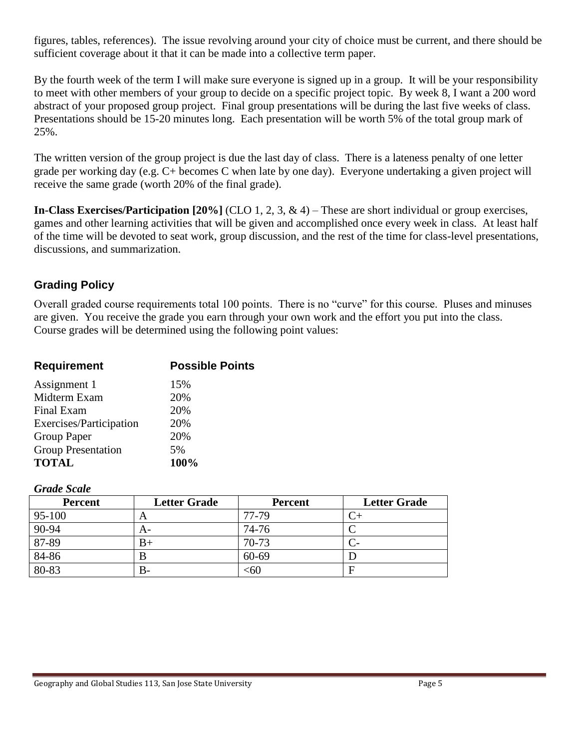figures, tables, references). The issue revolving around your city of choice must be current, and there should be sufficient coverage about it that it can be made into a collective term paper.

By the fourth week of the term I will make sure everyone is signed up in a group. It will be your responsibility to meet with other members of your group to decide on a specific project topic. By week 8, I want a 200 word abstract of your proposed group project. Final group presentations will be during the last five weeks of class. Presentations should be 15-20 minutes long. Each presentation will be worth 5% of the total group mark of 25%.

The written version of the group project is due the last day of class. There is a lateness penalty of one letter grade per working day (e.g. C+ becomes C when late by one day). Everyone undertaking a given project will receive the same grade (worth 20% of the final grade).

**In-Class Exercises/Participation [20%]** (CLO 1, 2, 3, & 4) – These are short individual or group exercises, games and other learning activities that will be given and accomplished once every week in class. At least half of the time will be devoted to seat work, group discussion, and the rest of the time for class-level presentations, discussions, and summarization.

#### **Grading Policy**

Overall graded course requirements total 100 points. There is no "curve" for this course. Pluses and minuses are given. You receive the grade you earn through your own work and the effort you put into the class. Course grades will be determined using the following point values:

| <b>Requirement</b>        | <b>Possible Points</b> |  |
|---------------------------|------------------------|--|
| Assignment 1              | 15%                    |  |
| Midterm Exam              | 20%                    |  |
| Final Exam                | 20%                    |  |
| Exercises/Participation   | 20%                    |  |
| Group Paper               | 20%                    |  |
| <b>Group Presentation</b> | 5%                     |  |
| <b>TOTAL</b>              | 100%                   |  |

#### *Grade Scale*

| <b>Percent</b> | <b>Letter Grade</b> | <b>Percent</b> | <b>Letter Grade</b> |
|----------------|---------------------|----------------|---------------------|
| 95-100         | A                   | 77-79          |                     |
| 90-94          | A-                  | 74-76          |                     |
| 87-89          | B+                  | 70-73          |                     |
| 84-86          |                     | 60-69          |                     |
| $80 - 83$      | B-                  | :60            | F                   |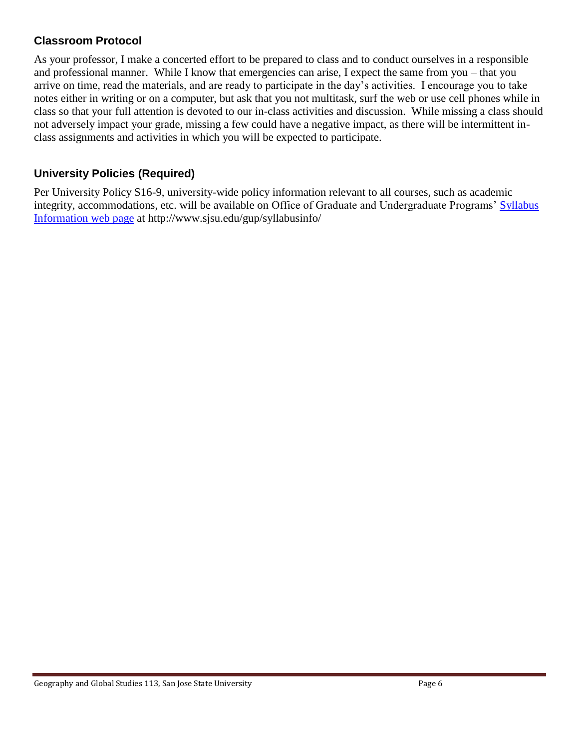#### **Classroom Protocol**

As your professor, I make a concerted effort to be prepared to class and to conduct ourselves in a responsible and professional manner. While I know that emergencies can arise, I expect the same from you – that you arrive on time, read the materials, and are ready to participate in the day's activities. I encourage you to take notes either in writing or on a computer, but ask that you not multitask, surf the web or use cell phones while in class so that your full attention is devoted to our in-class activities and discussion. While missing a class should not adversely impact your grade, missing a few could have a negative impact, as there will be intermittent inclass assignments and activities in which you will be expected to participate.

### **University Policies (Required)**

Per University Policy S16-9, university-wide policy information relevant to all courses, such as academic integrity, accommodations, etc. will be available on Office of Graduate and Undergraduate Programs' [Syllabus](http://www.sjsu.edu/gup/syllabusinfo/)  [Information](http://www.sjsu.edu/gup/syllabusinfo/) web page at http://www.sjsu.edu/gup/syllabusinfo/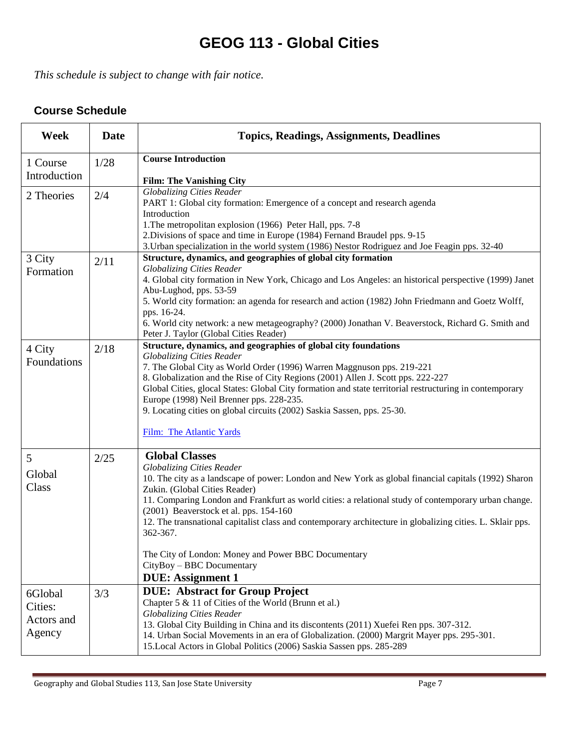# **GEOG 113 - Global Cities**

*This schedule is subject to change with fair notice.* 

## **Course Schedule**

| Week                                       | <b>Date</b> | <b>Topics, Readings, Assignments, Deadlines</b>                                                                                                                                                                                                                                                                                                                                                                                                                                                                                                                                                |
|--------------------------------------------|-------------|------------------------------------------------------------------------------------------------------------------------------------------------------------------------------------------------------------------------------------------------------------------------------------------------------------------------------------------------------------------------------------------------------------------------------------------------------------------------------------------------------------------------------------------------------------------------------------------------|
| 1 Course<br>Introduction                   | 1/28        | <b>Course Introduction</b><br><b>Film: The Vanishing City</b>                                                                                                                                                                                                                                                                                                                                                                                                                                                                                                                                  |
| 2 Theories                                 | 2/4         | <b>Globalizing Cities Reader</b><br>PART 1: Global city formation: Emergence of a concept and research agenda<br>Introduction<br>1. The metropolitan explosion (1966) Peter Hall, pps. 7-8<br>2. Divisions of space and time in Europe (1984) Fernand Braudel pps. 9-15<br>3. Urban specialization in the world system (1986) Nestor Rodriguez and Joe Feagin pps. 32-40                                                                                                                                                                                                                       |
| 3 City<br>Formation                        | 2/11        | Structure, dynamics, and geographies of global city formation<br><b>Globalizing Cities Reader</b><br>4. Global city formation in New York, Chicago and Los Angeles: an historical perspective (1999) Janet<br>Abu-Lughod, pps. 53-59<br>5. World city formation: an agenda for research and action (1982) John Friedmann and Goetz Wolff,<br>pps. 16-24.<br>6. World city network: a new metageography? (2000) Jonathan V. Beaverstock, Richard G. Smith and<br>Peter J. Taylor (Global Cities Reader)                                                                                         |
| 4 City<br>Foundations                      | 2/18        | Structure, dynamics, and geographies of global city foundations<br><b>Globalizing Cities Reader</b><br>7. The Global City as World Order (1996) Warren Maggnuson pps. 219-221<br>8. Globalization and the Rise of City Regions (2001) Allen J. Scott pps. 222-227<br>Global Cities, glocal States: Global City formation and state territorial restructuring in contemporary<br>Europe (1998) Neil Brenner pps. 228-235.<br>9. Locating cities on global circuits (2002) Saskia Sassen, pps. 25-30.<br>Film: The Atlantic Yards                                                                |
| 5<br>Global<br>Class                       | 2/25        | <b>Global Classes</b><br><b>Globalizing Cities Reader</b><br>10. The city as a landscape of power: London and New York as global financial capitals (1992) Sharon<br>Zukin. (Global Cities Reader)<br>11. Comparing London and Frankfurt as world cities: a relational study of contemporary urban change.<br>(2001) Beaverstock et al. pps. 154-160<br>12. The transnational capitalist class and contemporary architecture in globalizing cities. L. Sklair pps.<br>362-367.<br>The City of London: Money and Power BBC Documentary<br>CityBoy - BBC Documentary<br><b>DUE: Assignment 1</b> |
| 6Global<br>Cities:<br>Actors and<br>Agency | 3/3         | <b>DUE: Abstract for Group Project</b><br>Chapter 5 & 11 of Cities of the World (Brunn et al.)<br><b>Globalizing Cities Reader</b><br>13. Global City Building in China and its discontents (2011) Xuefei Ren pps. 307-312.<br>14. Urban Social Movements in an era of Globalization. (2000) Margrit Mayer pps. 295-301.<br>15. Local Actors in Global Politics (2006) Saskia Sassen pps. 285-289                                                                                                                                                                                              |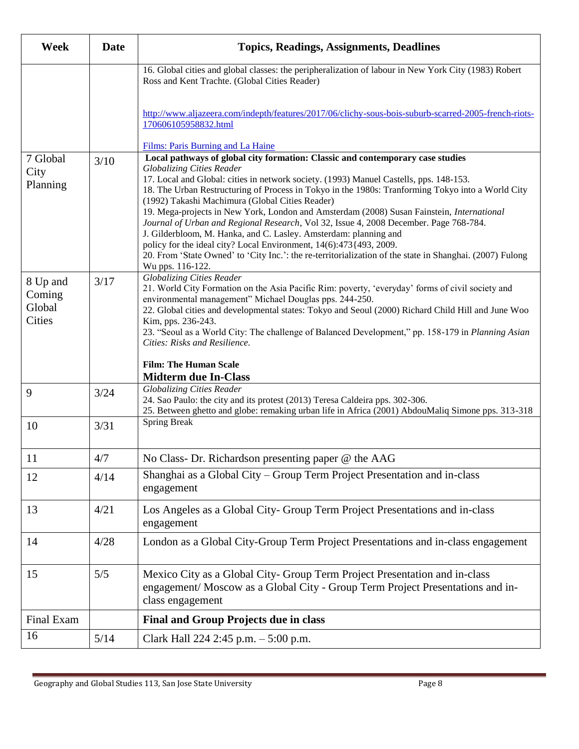| Week                                          | <b>Date</b> | <b>Topics, Readings, Assignments, Deadlines</b>                                                                                                                                                                                                                                                                                                                                                                                                                   |
|-----------------------------------------------|-------------|-------------------------------------------------------------------------------------------------------------------------------------------------------------------------------------------------------------------------------------------------------------------------------------------------------------------------------------------------------------------------------------------------------------------------------------------------------------------|
|                                               |             | 16. Global cities and global classes: the peripheralization of labour in New York City (1983) Robert<br>Ross and Kent Trachte. (Global Cities Reader)                                                                                                                                                                                                                                                                                                             |
|                                               |             | http://www.aljazeera.com/indepth/features/2017/06/clichy-sous-bois-suburb-scarred-2005-french-riots-<br>170606105958832.html                                                                                                                                                                                                                                                                                                                                      |
|                                               |             | Films: Paris Burning and La Haine                                                                                                                                                                                                                                                                                                                                                                                                                                 |
| 7 Global<br>City<br>Planning                  | 3/10        | Local pathways of global city formation: Classic and contemporary case studies<br><b>Globalizing Cities Reader</b><br>17. Local and Global: cities in network society. (1993) Manuel Castells, pps. 148-153.<br>18. The Urban Restructuring of Process in Tokyo in the 1980s: Tranforming Tokyo into a World City<br>(1992) Takashi Machimura (Global Cities Reader)                                                                                              |
|                                               |             | 19. Mega-projects in New York, London and Amsterdam (2008) Susan Fainstein, International<br>Journal of Urban and Regional Research, Vol 32, Issue 4, 2008 December. Page 768-784.<br>J. Gilderbloom, M. Hanka, and C. Lasley. Amsterdam: planning and<br>policy for the ideal city? Local Environment, 14(6):473{493, 2009.<br>20. From 'State Owned' to 'City Inc.': the re-territorialization of the state in Shanghai. (2007) Fulong<br>Wu pps. 116-122.      |
| 8 Up and<br>Coming<br>Global<br><b>Cities</b> | 3/17        | <b>Globalizing Cities Reader</b><br>21. World City Formation on the Asia Pacific Rim: poverty, 'everyday' forms of civil society and<br>environmental management" Michael Douglas pps. 244-250.<br>22. Global cities and developmental states: Tokyo and Seoul (2000) Richard Child Hill and June Woo<br>Kim, pps. 236-243.<br>23. "Seoul as a World City: The challenge of Balanced Development," pp. 158-179 in Planning Asian<br>Cities: Risks and Resilience. |
|                                               |             | <b>Film: The Human Scale</b><br><b>Midterm due In-Class</b>                                                                                                                                                                                                                                                                                                                                                                                                       |
| 9                                             | 3/24        | <b>Globalizing Cities Reader</b><br>24. Sao Paulo: the city and its protest (2013) Teresa Caldeira pps. 302-306.<br>25. Between ghetto and globe: remaking urban life in Africa (2001) AbdouMaliq Simone pps. 313-318                                                                                                                                                                                                                                             |
| 10                                            | 3/31        | <b>Spring Break</b>                                                                                                                                                                                                                                                                                                                                                                                                                                               |
| 11                                            | 4/7         | No Class- Dr. Richardson presenting paper @ the AAG                                                                                                                                                                                                                                                                                                                                                                                                               |
| 12                                            | 4/14        | Shanghai as a Global City - Group Term Project Presentation and in-class<br>engagement                                                                                                                                                                                                                                                                                                                                                                            |
| 13                                            | 4/21        | Los Angeles as a Global City- Group Term Project Presentations and in-class<br>engagement                                                                                                                                                                                                                                                                                                                                                                         |
| 14                                            | 4/28        | London as a Global City-Group Term Project Presentations and in-class engagement                                                                                                                                                                                                                                                                                                                                                                                  |
| 15                                            | 5/5         | Mexico City as a Global City- Group Term Project Presentation and in-class<br>engagement/ Moscow as a Global City - Group Term Project Presentations and in-<br>class engagement                                                                                                                                                                                                                                                                                  |
| Final Exam                                    |             | <b>Final and Group Projects due in class</b>                                                                                                                                                                                                                                                                                                                                                                                                                      |
| 16                                            | 5/14        | Clark Hall 224 2:45 p.m. $-5:00$ p.m.                                                                                                                                                                                                                                                                                                                                                                                                                             |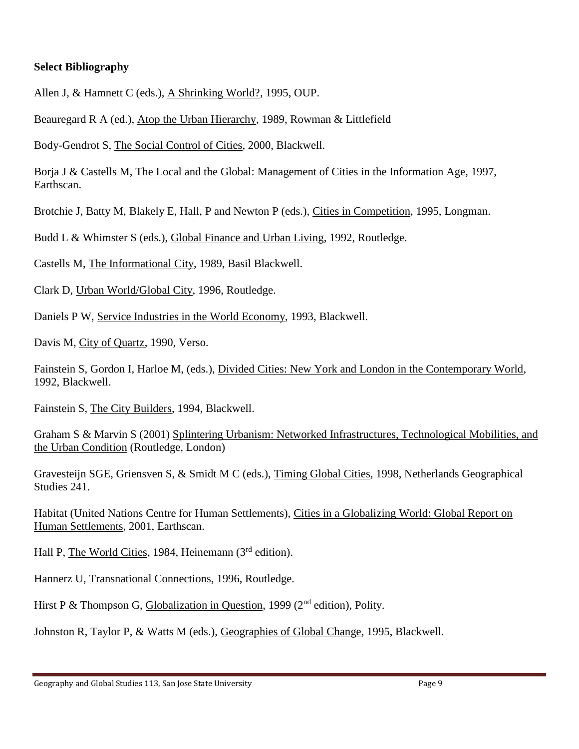#### **Select Bibliography**

Allen J, & Hamnett C (eds.), A Shrinking World?, 1995, OUP.

Beauregard R A (ed.), Atop the Urban Hierarchy, 1989, Rowman & Littlefield

Body-Gendrot S, The Social Control of Cities, 2000, Blackwell.

Borja J & Castells M, The Local and the Global: Management of Cities in the Information Age, 1997, Earthscan.

Brotchie J, Batty M, Blakely E, Hall, P and Newton P (eds.), Cities in Competition, 1995, Longman.

Budd L & Whimster S (eds.), Global Finance and Urban Living, 1992, Routledge.

Castells M, The Informational City, 1989, Basil Blackwell.

Clark D, Urban World/Global City, 1996, Routledge.

Daniels P W, Service Industries in the World Economy, 1993, Blackwell.

Davis M, City of Quartz, 1990, Verso.

Fainstein S, Gordon I, Harloe M, (eds.), Divided Cities: New York and London in the Contemporary World, 1992, Blackwell.

Fainstein S, The City Builders, 1994, Blackwell.

Graham S & Marvin S (2001) Splintering Urbanism: Networked Infrastructures, Technological Mobilities, and the Urban Condition (Routledge, London)

Gravesteijn SGE, Griensven S, & Smidt M C (eds.), Timing Global Cities, 1998, Netherlands Geographical Studies 241.

Habitat (United Nations Centre for Human Settlements), Cities in a Globalizing World: Global Report on Human Settlements, 2001, Earthscan.

Hall P, The World Cities, 1984, Heinemann (3rd edition).

Hannerz U, Transnational Connections, 1996, Routledge.

Hirst P & Thompson G, Globalization in Question, 1999 (2<sup>nd</sup> edition), Polity.

Johnston R, Taylor P, & Watts M (eds.), Geographies of Global Change, 1995, Blackwell.

Geography and Global Studies 113, San Jose State University **Page 9** Page 9